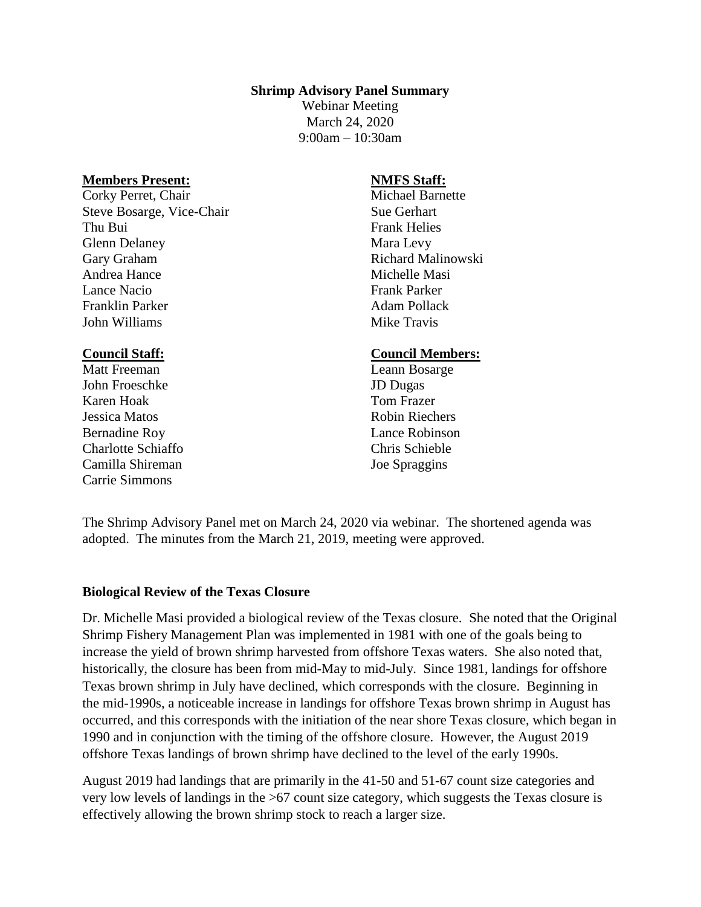#### **Shrimp Advisory Panel Summary**

Webinar Meeting March 24, 2020 9:00am – 10:30am

#### **Members Present:**

Corky Perret, Chair Steve Bosarge, Vice-Chair Thu Bui Glenn Delaney Gary Graham Andrea Hance Lance Nacio Franklin Parker John Williams

#### **Council Staff:**

Matt Freeman John Froeschke Karen Hoak Jessica Matos Bernadine Roy Charlotte Schiaffo Camilla Shireman Carrie Simmons

### **NMFS Staff:**

Michael Barnette Sue Gerhart Frank Helies Mara Levy Richard Malinowski Michelle Masi Frank Parker Adam Pollack Mike Travis

#### **Council Members:**

Leann Bosarge JD Dugas Tom Frazer Robin Riechers Lance Robinson Chris Schieble Joe Spraggins

The Shrimp Advisory Panel met on March 24, 2020 via webinar. The shortened agenda was adopted. The minutes from the March 21, 2019, meeting were approved.

#### **Biological Review of the Texas Closure**

Dr. Michelle Masi provided a biological review of the Texas closure. She noted that the Original Shrimp Fishery Management Plan was implemented in 1981 with one of the goals being to increase the yield of brown shrimp harvested from offshore Texas waters. She also noted that, historically, the closure has been from mid-May to mid-July. Since 1981, landings for offshore Texas brown shrimp in July have declined, which corresponds with the closure. Beginning in the mid-1990s, a noticeable increase in landings for offshore Texas brown shrimp in August has occurred, and this corresponds with the initiation of the near shore Texas closure, which began in 1990 and in conjunction with the timing of the offshore closure. However, the August 2019 offshore Texas landings of brown shrimp have declined to the level of the early 1990s.

August 2019 had landings that are primarily in the 41-50 and 51-67 count size categories and very low levels of landings in the >67 count size category, which suggests the Texas closure is effectively allowing the brown shrimp stock to reach a larger size.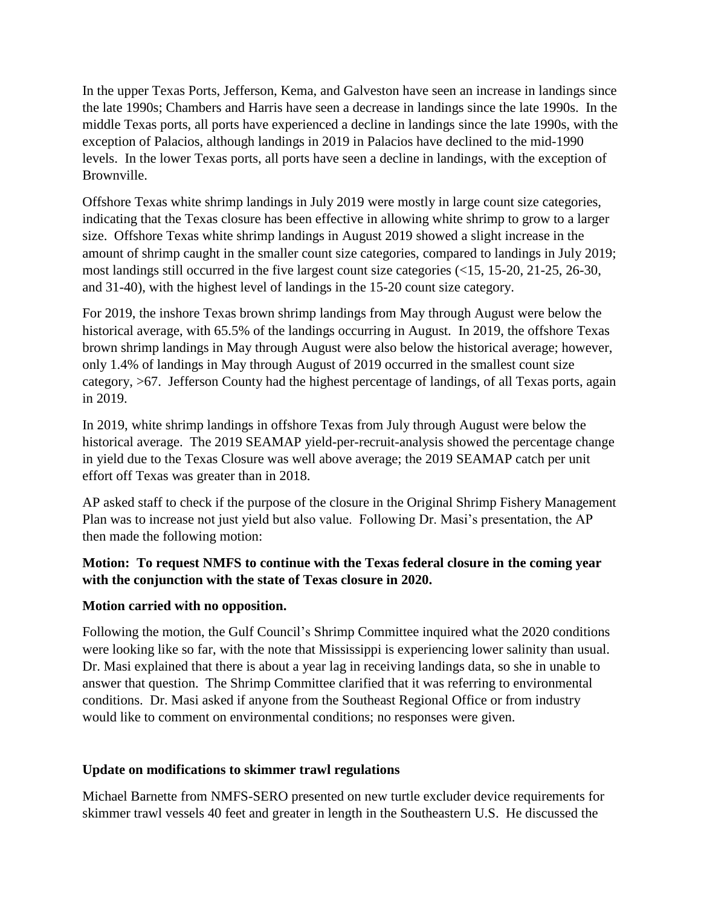In the upper Texas Ports, Jefferson, Kema, and Galveston have seen an increase in landings since the late 1990s; Chambers and Harris have seen a decrease in landings since the late 1990s. In the middle Texas ports, all ports have experienced a decline in landings since the late 1990s, with the exception of Palacios, although landings in 2019 in Palacios have declined to the mid-1990 levels. In the lower Texas ports, all ports have seen a decline in landings, with the exception of Brownville.

Offshore Texas white shrimp landings in July 2019 were mostly in large count size categories, indicating that the Texas closure has been effective in allowing white shrimp to grow to a larger size. Offshore Texas white shrimp landings in August 2019 showed a slight increase in the amount of shrimp caught in the smaller count size categories, compared to landings in July 2019; most landings still occurred in the five largest count size categories (<15, 15-20, 21-25, 26-30, and 31-40), with the highest level of landings in the 15-20 count size category.

For 2019, the inshore Texas brown shrimp landings from May through August were below the historical average, with 65.5% of the landings occurring in August. In 2019, the offshore Texas brown shrimp landings in May through August were also below the historical average; however, only 1.4% of landings in May through August of 2019 occurred in the smallest count size category, >67. Jefferson County had the highest percentage of landings, of all Texas ports, again in 2019.

In 2019, white shrimp landings in offshore Texas from July through August were below the historical average. The 2019 SEAMAP yield-per-recruit-analysis showed the percentage change in yield due to the Texas Closure was well above average; the 2019 SEAMAP catch per unit effort off Texas was greater than in 2018.

AP asked staff to check if the purpose of the closure in the Original Shrimp Fishery Management Plan was to increase not just yield but also value. Following Dr. Masi's presentation, the AP then made the following motion:

# **Motion: To request NMFS to continue with the Texas federal closure in the coming year with the conjunction with the state of Texas closure in 2020.**

## **Motion carried with no opposition.**

Following the motion, the Gulf Council's Shrimp Committee inquired what the 2020 conditions were looking like so far, with the note that Mississippi is experiencing lower salinity than usual. Dr. Masi explained that there is about a year lag in receiving landings data, so she in unable to answer that question. The Shrimp Committee clarified that it was referring to environmental conditions. Dr. Masi asked if anyone from the Southeast Regional Office or from industry would like to comment on environmental conditions; no responses were given.

## **Update on modifications to skimmer trawl regulations**

Michael Barnette from NMFS-SERO presented on new turtle excluder device requirements for skimmer trawl vessels 40 feet and greater in length in the Southeastern U.S. He discussed the